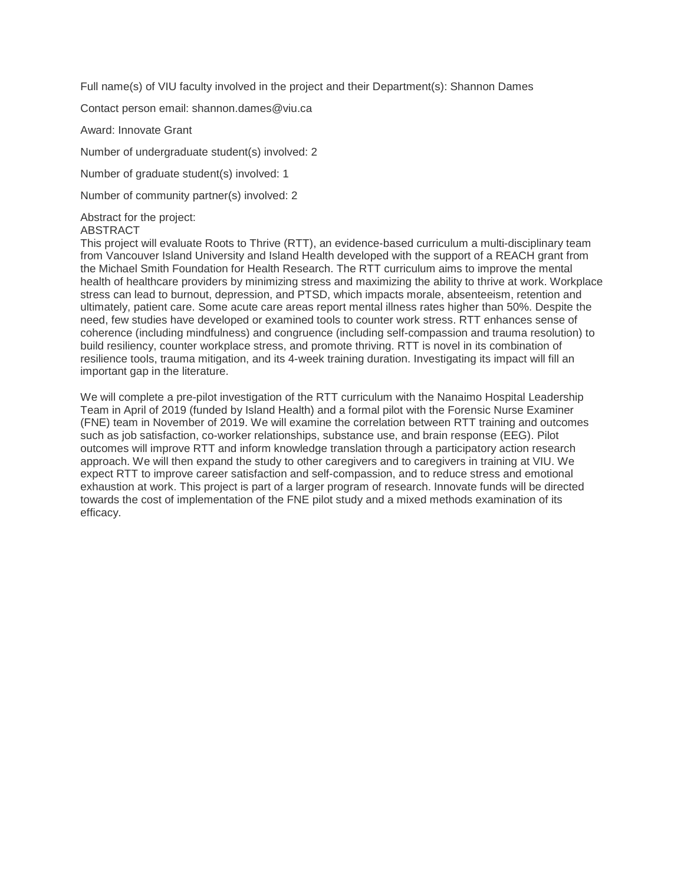Full name(s) of VIU faculty involved in the project and their Department(s): Shannon Dames

Contact person email: shannon.dames@viu.ca

Award: Innovate Grant

Number of undergraduate student(s) involved: 2

Number of graduate student(s) involved: 1

Number of community partner(s) involved: 2

Abstract for the project:

ABSTRACT

This project will evaluate Roots to Thrive (RTT), an evidence-based curriculum a multi-disciplinary team from Vancouver Island University and Island Health developed with the support of a REACH grant from the Michael Smith Foundation for Health Research. The RTT curriculum aims to improve the mental health of healthcare providers by minimizing stress and maximizing the ability to thrive at work. Workplace stress can lead to burnout, depression, and PTSD, which impacts morale, absenteeism, retention and ultimately, patient care. Some acute care areas report mental illness rates higher than 50%. Despite the need, few studies have developed or examined tools to counter work stress. RTT enhances sense of coherence (including mindfulness) and congruence (including self-compassion and trauma resolution) to build resiliency, counter workplace stress, and promote thriving. RTT is novel in its combination of resilience tools, trauma mitigation, and its 4-week training duration. Investigating its impact will fill an important gap in the literature.

We will complete a pre-pilot investigation of the RTT curriculum with the Nanaimo Hospital Leadership Team in April of 2019 (funded by Island Health) and a formal pilot with the Forensic Nurse Examiner (FNE) team in November of 2019. We will examine the correlation between RTT training and outcomes such as job satisfaction, co-worker relationships, substance use, and brain response (EEG). Pilot outcomes will improve RTT and inform knowledge translation through a participatory action research approach. We will then expand the study to other caregivers and to caregivers in training at VIU. We expect RTT to improve career satisfaction and self-compassion, and to reduce stress and emotional exhaustion at work. This project is part of a larger program of research. Innovate funds will be directed towards the cost of implementation of the FNE pilot study and a mixed methods examination of its efficacy.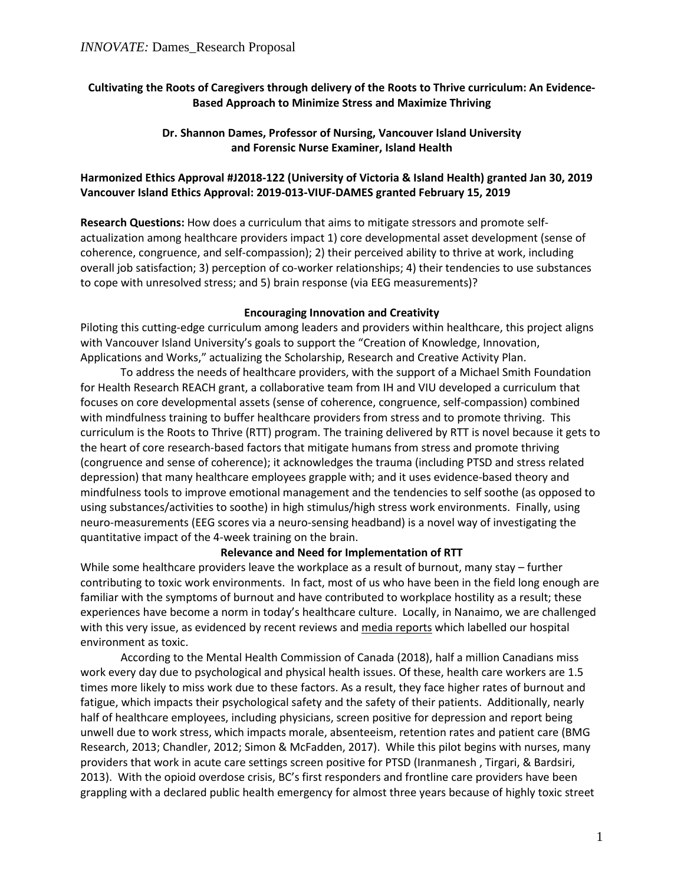## **Cultivating the Roots of Caregivers through delivery of the Roots to Thrive curriculum: An Evidence-Based Approach to Minimize Stress and Maximize Thriving**

#### **Dr. Shannon Dames, Professor of Nursing, Vancouver Island University and Forensic Nurse Examiner, Island Health**

### **Harmonized Ethics Approval #J2018-122 (University of Victoria & Island Health) granted Jan 30, 2019 Vancouver Island Ethics Approval: 2019-013-VIUF-DAMES granted February 15, 2019**

**Research Questions:** How does a curriculum that aims to mitigate stressors and promote selfactualization among healthcare providers impact 1) core developmental asset development (sense of coherence, congruence, and self-compassion); 2) their perceived ability to thrive at work, including overall job satisfaction; 3) perception of co-worker relationships; 4) their tendencies to use substances to cope with unresolved stress; and 5) brain response (via EEG measurements)?

#### **Encouraging Innovation and Creativity**

Piloting this cutting-edge curriculum among leaders and providers within healthcare, this project aligns with Vancouver Island University's goals to support the "Creation of Knowledge, Innovation, Applications and Works," actualizing the Scholarship, Research and Creative Activity Plan.

To address the needs of healthcare providers, with the support of a Michael Smith Foundation for Health Research REACH grant, a collaborative team from IH and VIU developed a curriculum that focuses on core developmental assets (sense of coherence, congruence, self-compassion) combined with mindfulness training to buffer healthcare providers from stress and to promote thriving. This curriculum is the Roots to Thrive (RTT) program. The training delivered by RTT is novel because it gets to the heart of core research-based factors that mitigate humans from stress and promote thriving (congruence and sense of coherence); it acknowledges the trauma (including PTSD and stress related depression) that many healthcare employees grapple with; and it uses evidence-based theory and mindfulness tools to improve emotional management and the tendencies to self soothe (as opposed to using substances/activities to soothe) in high stimulus/high stress work environments. Finally, using neuro-measurements (EEG scores via a neuro-sensing headband) is a novel way of investigating the quantitative impact of the 4-week training on the brain.

#### **Relevance and Need for Implementation of RTT**

While some healthcare providers leave the workplace as a result of burnout, many stay – further contributing to toxic work environments. In fact, most of us who have been in the field long enough are familiar with the symptoms of burnout and have contributed to workplace hostility as a result; these experiences have become a norm in today's healthcare culture. Locally, in Nanaimo, we are challenged with this very issue, as evidenced by recent reviews and [media reports](https://globalnews.ca/news/3853961/toxic-culture-leading-nanaimo-hospital-to-self-destruction-report/) which labelled our hospital environment as toxic.

According to the Mental Health Commission of Canada (2018), half a million Canadians miss work every day due to psychological and physical health issues. Of these, health care workers are 1.5 times more likely to miss work due to these factors. As a result, they face higher rates of burnout and fatigue, which impacts their psychological safety and the safety of their patients. Additionally, nearly half of healthcare employees, including physicians, screen positive for depression and report being unwell due to work stress, which impacts morale, absenteeism, retention rates and patient care (BMG Research, 2013; Chandler, 2012; Simon & McFadden, 2017). While this pilot begins with nurses, many providers that work in acute care settings screen positive for PTSD (Iranmanesh , Tirgari, & Bardsiri, 2013). With the opioid overdose crisis, BC's first responders and frontline care providers have been grappling with a declared public health emergency for almost three years because of highly toxic street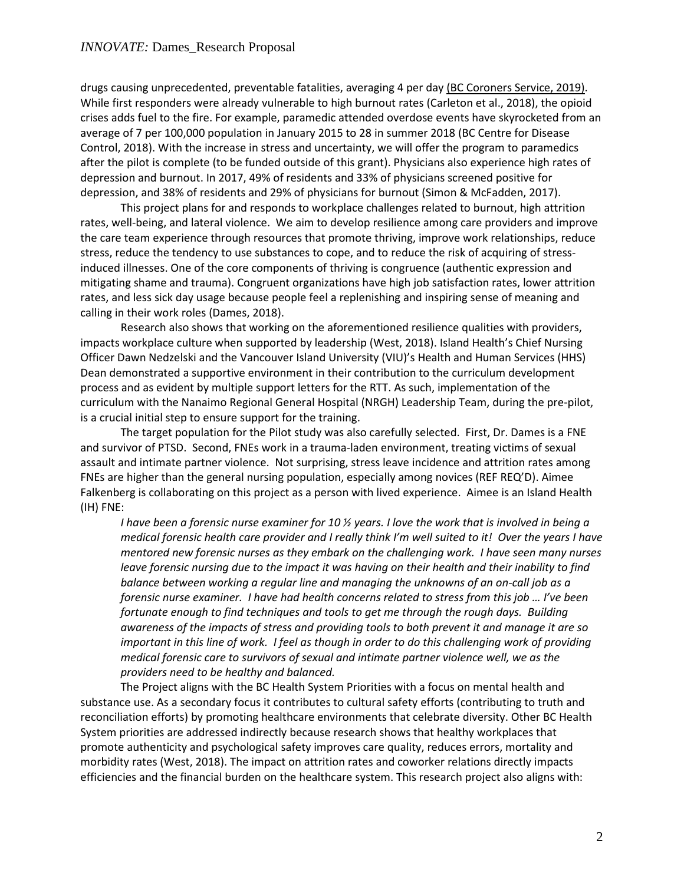drugs causing unprecedented, preventable fatalities, averaging 4 per day [\(BC Coroners Service, 2019\).](https://www2.gov.bc.ca/assets/gov/birth-adoption-death-marriage-and-divorce/deaths/coroners-service/statistical/illicit-drug.pdf) While first responders were already vulnerable to high burnout rates (Carleton et al., 2018), the opioid crises adds fuel to the fire. For example, paramedic attended overdose events have skyrocketed from an average of 7 per 100,000 population in January 2015 to 28 in summer 2018 (BC Centre for Disease Control, 2018). With the increase in stress and uncertainty, we will offer the program to paramedics after the pilot is complete (to be funded outside of this grant). Physicians also experience high rates of depression and burnout. In 2017, 49% of residents and 33% of physicians screened positive for depression, and 38% of residents and 29% of physicians for burnout (Simon & McFadden, 2017).

This project plans for and responds to workplace challenges related to burnout, high attrition rates, well-being, and lateral violence. We aim to develop resilience among care providers and improve the care team experience through resources that promote thriving, improve work relationships, reduce stress, reduce the tendency to use substances to cope, and to reduce the risk of acquiring of stressinduced illnesses. One of the core components of thriving is congruence (authentic expression and mitigating shame and trauma). Congruent organizations have high job satisfaction rates, lower attrition rates, and less sick day usage because people feel a replenishing and inspiring sense of meaning and calling in their work roles (Dames, 2018).

Research also shows that working on the aforementioned resilience qualities with providers, impacts workplace culture when supported by leadership (West, 2018). Island Health's Chief Nursing Officer Dawn Nedzelski and the Vancouver Island University (VIU)'s Health and Human Services (HHS) Dean demonstrated a supportive environment in their contribution to the curriculum development process and as evident by multiple support letters for the RTT. As such, implementation of the curriculum with the Nanaimo Regional General Hospital (NRGH) Leadership Team, during the pre-pilot, is a crucial initial step to ensure support for the training.

The target population for the Pilot study was also carefully selected. First, Dr. Dames is a FNE and survivor of PTSD. Second, FNEs work in a trauma-laden environment, treating victims of sexual assault and intimate partner violence. Not surprising, stress leave incidence and attrition rates among FNEs are higher than the general nursing population, especially among novices (REF REQ'D). Aimee Falkenberg is collaborating on this project as a person with lived experience. Aimee is an Island Health (IH) FNE:

*I have been a forensic nurse examiner for 10 ½ years. I love the work that is involved in being a medical forensic health care provider and I really think I'm well suited to it! Over the years I have mentored new forensic nurses as they embark on the challenging work. I have seen many nurses*  leave forensic nursing due to the impact it was having on their health and their inability to find *balance between working a regular line and managing the unknowns of an on-call job as a forensic nurse examiner. I have had health concerns related to stress from this job … I've been fortunate enough to find techniques and tools to get me through the rough days. Building awareness of the impacts of stress and providing tools to both prevent it and manage it are so important in this line of work. I feel as though in order to do this challenging work of providing medical forensic care to survivors of sexual and intimate partner violence well, we as the providers need to be healthy and balanced.*

The Project aligns with the BC Health System Priorities with a focus on mental health and substance use. As a secondary focus it contributes to cultural safety efforts (contributing to truth and reconciliation efforts) by promoting healthcare environments that celebrate diversity. Other BC Health System priorities are addressed indirectly because research shows that healthy workplaces that promote authenticity and psychological safety improves care quality, reduces errors, mortality and morbidity rates (West, 2018). The impact on attrition rates and coworker relations directly impacts efficiencies and the financial burden on the healthcare system. This research project also aligns with: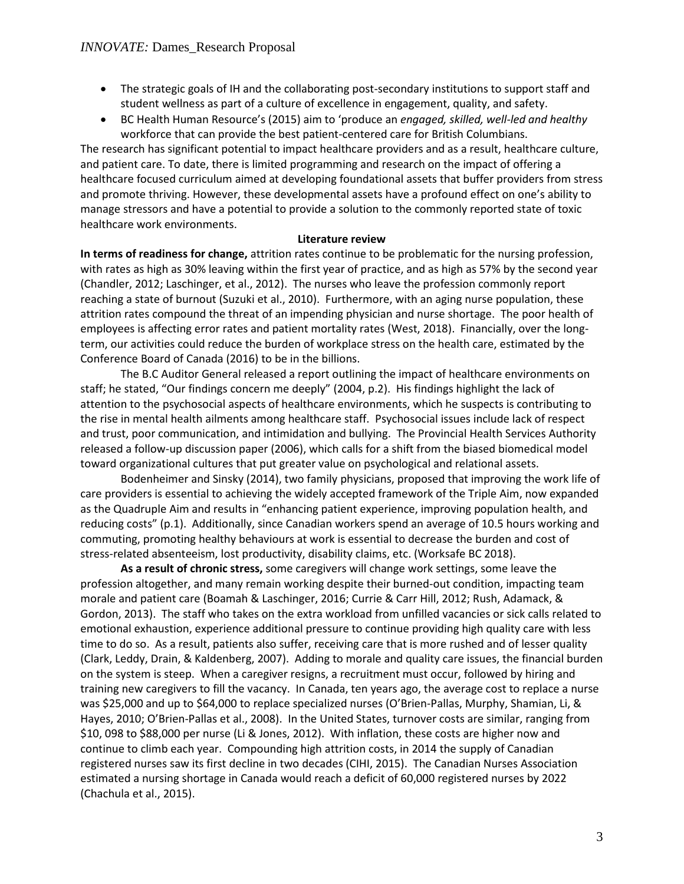- The strategic goals of IH and the collaborating post-secondary institutions to support staff and student wellness as part of a culture of excellence in engagement, quality, and safety.
- BC Health Human Resource's (2015) aim to 'produce an *engaged, skilled, well-led and healthy*  workforce that can provide the best patient-centered care for British Columbians.

The research has significant potential to impact healthcare providers and as a result, healthcare culture, and patient care. To date, there is limited programming and research on the impact of offering a healthcare focused curriculum aimed at developing foundational assets that buffer providers from stress and promote thriving. However, these developmental assets have a profound effect on one's ability to manage stressors and have a potential to provide a solution to the commonly reported state of toxic healthcare work environments.

#### **Literature review**

**In terms of readiness for change,** attrition rates continue to be problematic for the nursing profession, with rates as high as 30% leaving within the first year of practice, and as high as 57% by the second year (Chandler, 2012; Laschinger, et al., 2012). The nurses who leave the profession commonly report reaching a state of burnout (Suzuki et al., 2010). Furthermore, with an aging nurse population, these attrition rates compound the threat of an impending physician and nurse shortage. The poor health of employees is affecting error rates and patient mortality rates (West, 2018). Financially, over the longterm, our activities could reduce the burden of workplace stress on the health care, estimated by the Conference Board of Canada (2016) to be in the billions.

The B.C Auditor General released a report outlining the impact of healthcare environments on staff; he stated, "Our findings concern me deeply" (2004, p.2). His findings highlight the lack of attention to the psychosocial aspects of healthcare environments, which he suspects is contributing to the rise in mental health ailments among healthcare staff. Psychosocial issues include lack of respect and trust, poor communication, and intimidation and bullying. The Provincial Health Services Authority released a follow-up discussion paper (2006), which calls for a shift from the biased biomedical model toward organizational cultures that put greater value on psychological and relational assets.

Bodenheimer and Sinsky (2014), two family physicians, proposed that improving the work life of care providers is essential to achieving the widely accepted framework of the Triple Aim, now expanded as the Quadruple Aim and results in "enhancing patient experience, improving population health, and reducing costs" (p.1). Additionally, since Canadian workers spend an average of 10.5 hours working and commuting, promoting healthy behaviours at work is essential to decrease the burden and cost of stress-related absenteeism, lost productivity, disability claims, etc. (Worksafe BC 2018).

**As a result of chronic stress,** some caregivers will change work settings, some leave the profession altogether, and many remain working despite their burned-out condition, impacting team morale and patient care (Boamah & Laschinger, 2016; Currie & Carr Hill, 2012; Rush, Adamack, & Gordon, 2013). The staff who takes on the extra workload from unfilled vacancies or sick calls related to emotional exhaustion, experience additional pressure to continue providing high quality care with less time to do so. As a result, patients also suffer, receiving care that is more rushed and of lesser quality (Clark, Leddy, Drain, & Kaldenberg, 2007). Adding to morale and quality care issues, the financial burden on the system is steep. When a caregiver resigns, a recruitment must occur, followed by hiring and training new caregivers to fill the vacancy. In Canada, ten years ago, the average cost to replace a nurse was \$25,000 and up to \$64,000 to replace specialized nurses (O'Brien-Pallas, Murphy, Shamian, Li, & Hayes, 2010; O'Brien-Pallas et al., 2008). In the United States, turnover costs are similar, ranging from \$10, 098 to \$88,000 per nurse (Li & Jones, 2012). With inflation, these costs are higher now and continue to climb each year. Compounding high attrition costs, in 2014 the supply of Canadian registered nurses saw its first decline in two decades (CIHI, 2015). The Canadian Nurses Association estimated a nursing shortage in Canada would reach a deficit of 60,000 registered nurses by 2022 (Chachula et al., 2015).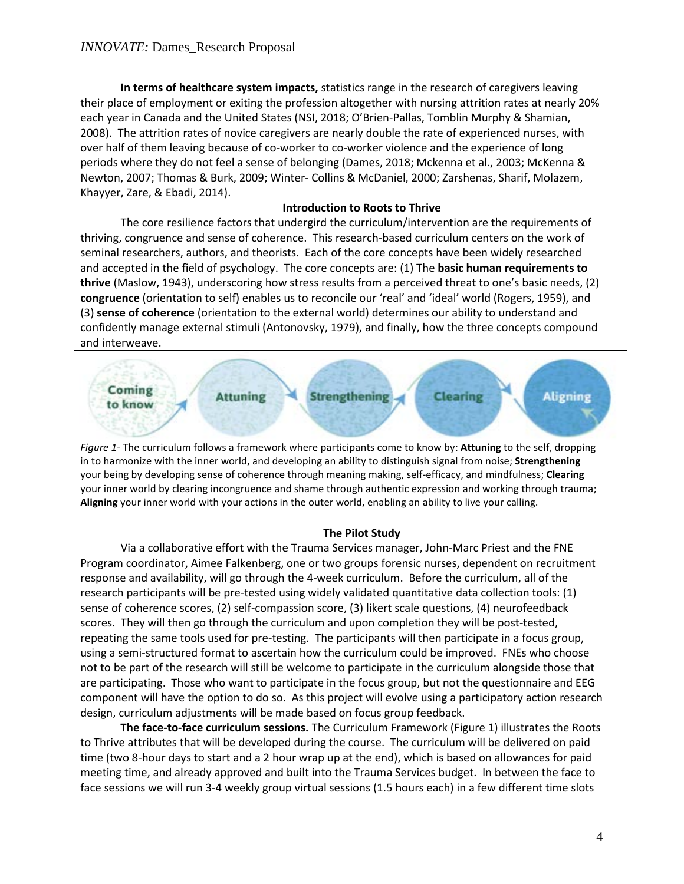**In terms of healthcare system impacts,** statistics range in the research of caregivers leaving their place of employment or exiting the profession altogether with nursing attrition rates at nearly 20% each year in Canada and the United States (NSI, 2018; O'Brien-Pallas, Tomblin Murphy & Shamian, 2008). The attrition rates of novice caregivers are nearly double the rate of experienced nurses, with over half of them leaving because of co-worker to co-worker violence and the experience of long periods where they do not feel a sense of belonging (Dames, 2018; Mckenna et al., 2003; McKenna & Newton, 2007; Thomas & Burk, 2009; Winter- Collins & McDaniel, 2000; Zarshenas, Sharif, Molazem, Khayyer, Zare, & Ebadi, 2014).

#### **Introduction to Roots to Thrive**

The core resilience factors that undergird the curriculum/intervention are the requirements of thriving, congruence and sense of coherence. This research-based curriculum centers on the work of seminal researchers, authors, and theorists. Each of the core concepts have been widely researched and accepted in the field of psychology. The core concepts are: (1) The **basic human requirements to thrive** (Maslow, 1943), underscoring how stress results from a perceived threat to one's basic needs, (2) **congruence** (orientation to self) enables us to reconcile our 'real' and 'ideal' world (Rogers, 1959), and (3) **sense of coherence** (orientation to the external world) determines our ability to understand and confidently manage external stimuli (Antonovsky, 1979), and finally, how the three concepts compound and interweave.



#### **The Pilot Study**

**Aligning** your inner world with your actions in the outer world, enabling an ability to live your calling.

Via a collaborative effort with the Trauma Services manager, John-Marc Priest and the FNE Program coordinator, Aimee Falkenberg, one or two groups forensic nurses, dependent on recruitment response and availability, will go through the 4-week curriculum. Before the curriculum, all of the research participants will be pre-tested using widely validated quantitative data collection tools: (1) sense of coherence scores, (2) self-compassion score, (3) likert scale questions, (4) neurofeedback scores. They will then go through the curriculum and upon completion they will be post-tested, repeating the same tools used for pre-testing. The participants will then participate in a focus group, using a semi-structured format to ascertain how the curriculum could be improved. FNEs who choose not to be part of the research will still be welcome to participate in the curriculum alongside those that are participating. Those who want to participate in the focus group, but not the questionnaire and EEG component will have the option to do so. As this project will evolve using a participatory action research design, curriculum adjustments will be made based on focus group feedback.

**The face-to-face curriculum sessions.** The Curriculum Framework (Figure 1) illustrates the Roots to Thrive attributes that will be developed during the course. The curriculum will be delivered on paid time (two 8-hour days to start and a 2 hour wrap up at the end), which is based on allowances for paid meeting time, and already approved and built into the Trauma Services budget. In between the face to face sessions we will run 3-4 weekly group virtual sessions (1.5 hours each) in a few different time slots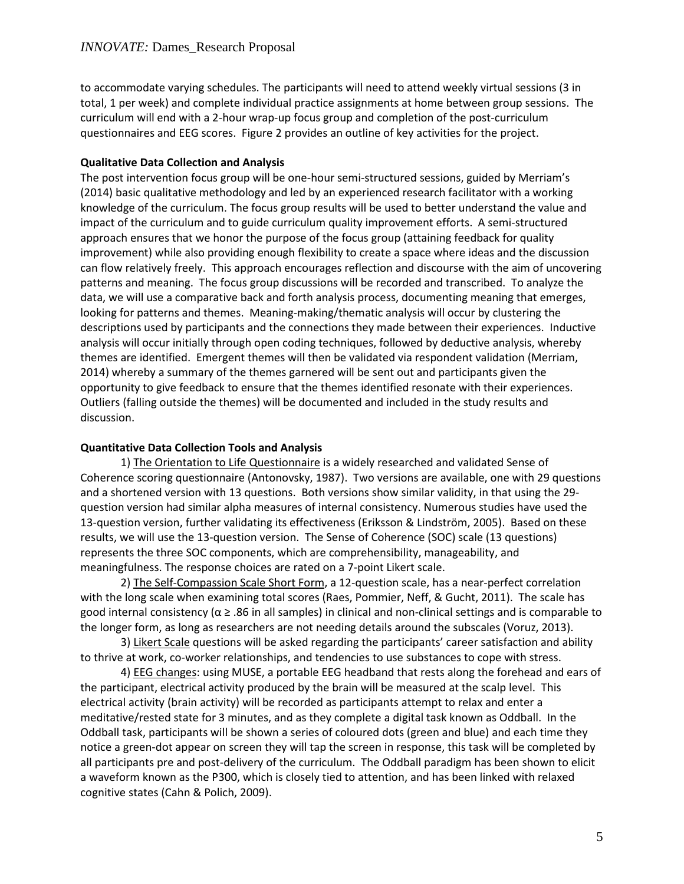to accommodate varying schedules. The participants will need to attend weekly virtual sessions (3 in total, 1 per week) and complete individual practice assignments at home between group sessions. The curriculum will end with a 2-hour wrap-up focus group and completion of the post-curriculum questionnaires and EEG scores. Figure 2 provides an outline of key activities for the project.

### **Qualitative Data Collection and Analysis**

The post intervention focus group will be one-hour semi-structured sessions, guided by Merriam's (2014) basic qualitative methodology and led by an experienced research facilitator with a working knowledge of the curriculum. The focus group results will be used to better understand the value and impact of the curriculum and to guide curriculum quality improvement efforts. A semi-structured approach ensures that we honor the purpose of the focus group (attaining feedback for quality improvement) while also providing enough flexibility to create a space where ideas and the discussion can flow relatively freely. This approach encourages reflection and discourse with the aim of uncovering patterns and meaning. The focus group discussions will be recorded and transcribed. To analyze the data, we will use a comparative back and forth analysis process, documenting meaning that emerges, looking for patterns and themes. Meaning-making/thematic analysis will occur by clustering the descriptions used by participants and the connections they made between their experiences. Inductive analysis will occur initially through open coding techniques, followed by deductive analysis, whereby themes are identified. Emergent themes will then be validated via respondent validation (Merriam, 2014) whereby a summary of the themes garnered will be sent out and participants given the opportunity to give feedback to ensure that the themes identified resonate with their experiences. Outliers (falling outside the themes) will be documented and included in the study results and discussion.

### **Quantitative Data Collection Tools and Analysis**

1) The Orientation to Life Questionnaire is a widely researched and validated Sense of Coherence scoring questionnaire (Antonovsky, 1987). Two versions are available, one with 29 questions and a shortened version with 13 questions. Both versions show similar validity, in that using the 29 question version had similar alpha measures of internal consistency. Numerous studies have used the 13-question version, further validating its effectiveness (Eriksson & Lindström, 2005). Based on these results, we will use the 13-question version. The Sense of Coherence (SOC) scale (13 questions) represents the three SOC components, which are comprehensibility, manageability, and meaningfulness. The response choices are rated on a 7-point Likert scale.

2) The Self-Compassion Scale Short Form, a 12-question scale, has a near-perfect correlation with the long scale when examining total scores (Raes, Pommier, Neff, & Gucht, 2011). The scale has good internal consistency (α ≥ .86 in all samples) in clinical and non-clinical settings and is comparable to the longer form, as long as researchers are not needing details around the subscales (Voruz, 2013).

3) Likert Scale questions will be asked regarding the participants' career satisfaction and ability to thrive at work, co-worker relationships, and tendencies to use substances to cope with stress.

4) EEG changes: using MUSE, a portable EEG headband that rests along the forehead and ears of the participant, electrical activity produced by the brain will be measured at the scalp level. This electrical activity (brain activity) will be recorded as participants attempt to relax and enter a meditative/rested state for 3 minutes, and as they complete a digital task known as Oddball. In the Oddball task, participants will be shown a series of coloured dots (green and blue) and each time they notice a green-dot appear on screen they will tap the screen in response, this task will be completed by all participants pre and post-delivery of the curriculum. The Oddball paradigm has been shown to elicit a waveform known as the P300, which is closely tied to attention, and has been linked with relaxed cognitive states (Cahn & Polich, 2009).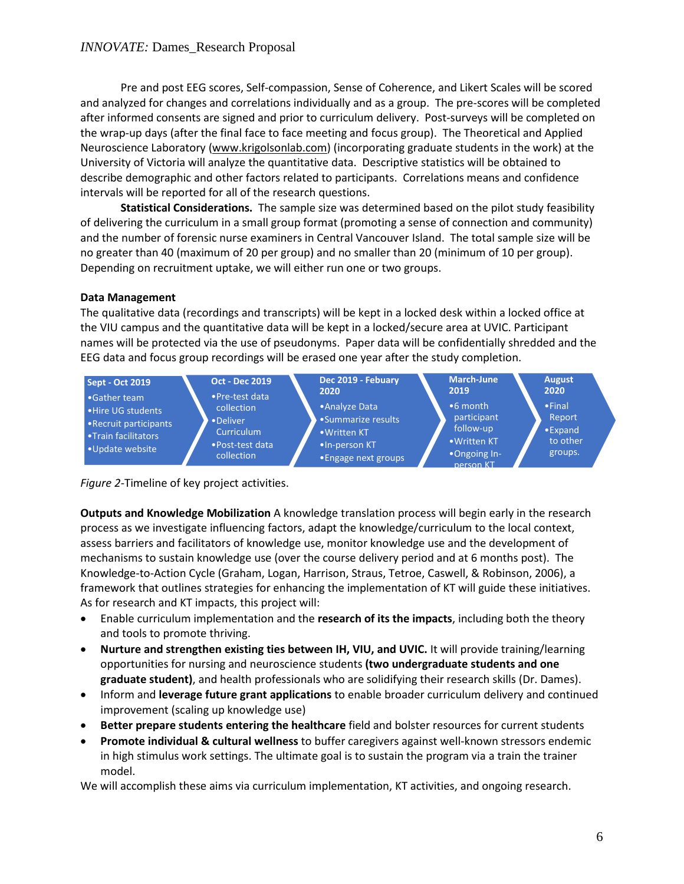Pre and post EEG scores, Self-compassion, Sense of Coherence, and Likert Scales will be scored and analyzed for changes and correlations individually and as a group. The pre-scores will be completed after informed consents are signed and prior to curriculum delivery. Post-surveys will be completed on the wrap-up days (after the final face to face meeting and focus group). The Theoretical and Applied Neuroscience Laboratory [\(www.krigolsonlab.com\)](http://www.krigolsonlab.com/) (incorporating graduate students in the work) at the University of Victoria will analyze the quantitative data. Descriptive statistics will be obtained to describe demographic and other factors related to participants. Correlations means and confidence intervals will be reported for all of the research questions.

**Statistical Considerations.** The sample size was determined based on the pilot study feasibility of delivering the curriculum in a small group format (promoting a sense of connection and community) and the number of forensic nurse examiners in Central Vancouver Island. The total sample size will be no greater than 40 (maximum of 20 per group) and no smaller than 20 (minimum of 10 per group). Depending on recruitment uptake, we will either run one or two groups.

## **Data Management**

The qualitative data (recordings and transcripts) will be kept in a locked desk within a locked office at the VIU campus and the quantitative data will be kept in a locked/secure area at UVIC. Participant names will be protected via the use of pseudonyms. Paper data will be confidentially shredded and the EEG data and focus group recordings will be erased one year after the study completion.



*Figure 2*-Timeline of key project activities.

**Outputs and Knowledge Mobilization** A knowledge translation process will begin early in the research process as we investigate influencing factors, adapt the knowledge/curriculum to the local context, assess barriers and facilitators of knowledge use, monitor knowledge use and the development of mechanisms to sustain knowledge use (over the course delivery period and at 6 months post). The Knowledge-to-Action Cycle (Graham, Logan, Harrison, Straus, Tetroe, Caswell, & Robinson, 2006), a framework that outlines strategies for enhancing the implementation of KT will guide these initiatives. As for research and KT impacts, this project will:

- Enable curriculum implementation and the **research of its the impacts**, including both the theory and tools to promote thriving.
- **Nurture and strengthen existing ties between IH, VIU, and UVIC.** It will provide training/learning opportunities for nursing and neuroscience students **(two undergraduate students and one graduate student)**, and health professionals who are solidifying their research skills (Dr. Dames).
- Inform and **leverage future grant applications** to enable broader curriculum delivery and continued improvement (scaling up knowledge use)
- **Better prepare students entering the healthcare** field and bolster resources for current students
- **Promote individual & cultural wellness** to buffer caregivers against well-known stressors endemic in high stimulus work settings. The ultimate goal is to sustain the program via a train the trainer model.

We will accomplish these aims via curriculum implementation, KT activities, and ongoing research.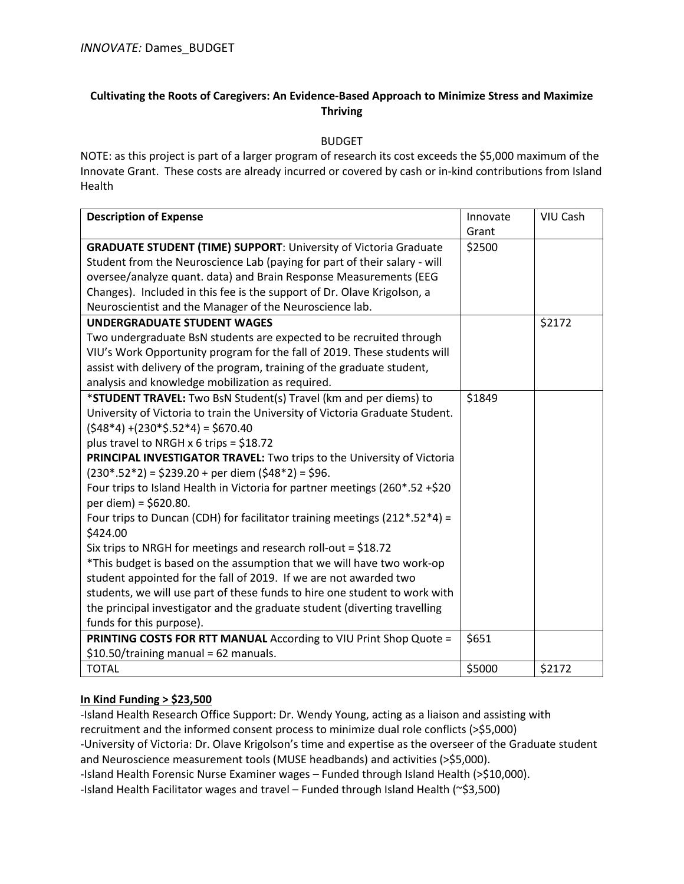### **Cultivating the Roots of Caregivers: An Evidence-Based Approach to Minimize Stress and Maximize Thriving**

BUDGET

NOTE: as this project is part of a larger program of research its cost exceeds the \$5,000 maximum of the Innovate Grant. These costs are already incurred or covered by cash or in-kind contributions from Island Health

| <b>Description of Expense</b>                                                | Innovate | VIU Cash |
|------------------------------------------------------------------------------|----------|----------|
|                                                                              | Grant    |          |
| <b>GRADUATE STUDENT (TIME) SUPPORT: University of Victoria Graduate</b>      | \$2500   |          |
| Student from the Neuroscience Lab (paying for part of their salary - will    |          |          |
| oversee/analyze quant. data) and Brain Response Measurements (EEG            |          |          |
| Changes). Included in this fee is the support of Dr. Olave Krigolson, a      |          |          |
| Neuroscientist and the Manager of the Neuroscience lab.                      |          |          |
| <b>UNDERGRADUATE STUDENT WAGES</b>                                           |          | \$2172   |
| Two undergraduate BsN students are expected to be recruited through          |          |          |
| VIU's Work Opportunity program for the fall of 2019. These students will     |          |          |
| assist with delivery of the program, training of the graduate student,       |          |          |
| analysis and knowledge mobilization as required.                             |          |          |
| *STUDENT TRAVEL: Two BsN Student(s) Travel (km and per diems) to             | \$1849   |          |
| University of Victoria to train the University of Victoria Graduate Student. |          |          |
| $(548*4) + (230*5.52*4) = 5670.40$                                           |          |          |
| plus travel to NRGH x 6 trips = $$18.72$                                     |          |          |
| PRINCIPAL INVESTIGATOR TRAVEL: Two trips to the University of Victoria       |          |          |
| $(230^* .52^*2) = $239.20 + per$ diem $($48^*2) = $96.$                      |          |          |
| Four trips to Island Health in Victoria for partner meetings (260*.52 +\$20  |          |          |
| per diem) = \$620.80.                                                        |          |          |
| Four trips to Duncan (CDH) for facilitator training meetings (212*.52*4) =   |          |          |
| \$424.00                                                                     |          |          |
| Six trips to NRGH for meetings and research roll-out = $$18.72$              |          |          |
| *This budget is based on the assumption that we will have two work-op        |          |          |
| student appointed for the fall of 2019. If we are not awarded two            |          |          |
| students, we will use part of these funds to hire one student to work with   |          |          |
| the principal investigator and the graduate student (diverting travelling    |          |          |
| funds for this purpose).                                                     |          |          |
| PRINTING COSTS FOR RTT MANUAL According to VIU Print Shop Quote =            | \$651    |          |
| \$10.50/training manual = 62 manuals.                                        |          |          |
| <b>TOTAL</b>                                                                 | \$5000   | \$2172   |

## **In Kind Funding > \$23,500**

-Island Health Research Office Support: Dr. Wendy Young, acting as a liaison and assisting with recruitment and the informed consent process to minimize dual role conflicts (>\$5,000) -University of Victoria: Dr. Olave Krigolson's time and expertise as the overseer of the Graduate student and Neuroscience measurement tools (MUSE headbands) and activities (>\$5,000). -Island Health Forensic Nurse Examiner wages – Funded through Island Health (>\$10,000).

-Island Health Facilitator wages and travel – Funded through Island Health (~\$3,500)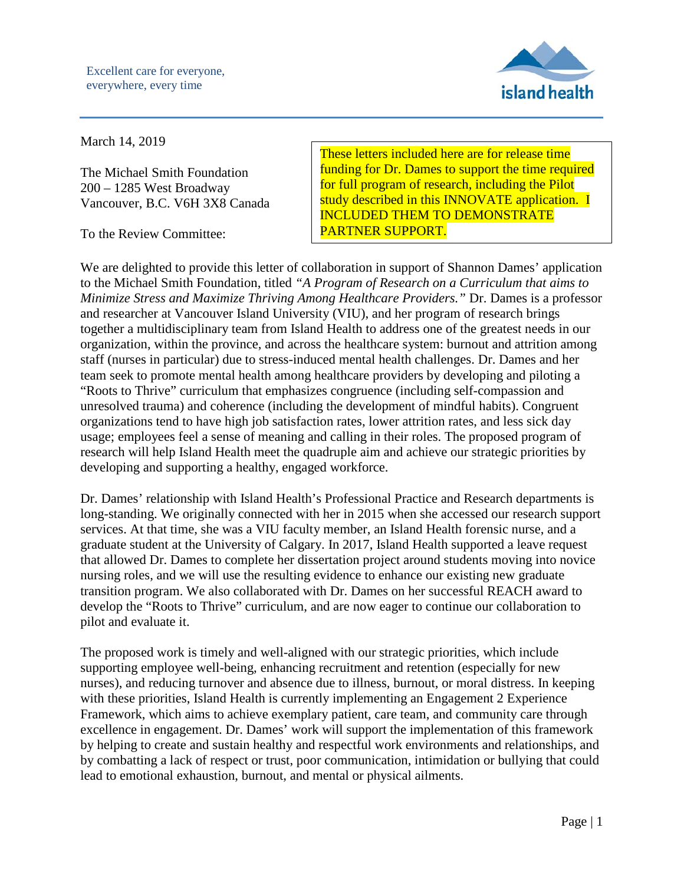

# March 14, 2019

The Michael Smith Foundation 200 – 1285 West Broadway Vancouver, B.C. V6H 3X8 Canada

To the Review Committee:

These letters included here are for release time funding for Dr. Dames to support the time required for full program of research, including the Pilot study described in this INNOVATE application. I INCLUDED THEM TO DEMONSTRATE PARTNER SUPPORT.

We are delighted to provide this letter of collaboration in support of Shannon Dames' application to the Michael Smith Foundation, titled *"A Program of Research on a Curriculum that aims to Minimize Stress and Maximize Thriving Among Healthcare Providers."* Dr. Dames is a professor and researcher at Vancouver Island University (VIU), and her program of research brings together a multidisciplinary team from Island Health to address one of the greatest needs in our organization, within the province, and across the healthcare system: burnout and attrition among staff (nurses in particular) due to stress-induced mental health challenges. Dr. Dames and her team seek to promote mental health among healthcare providers by developing and piloting a "Roots to Thrive" curriculum that emphasizes congruence (including self-compassion and unresolved trauma) and coherence (including the development of mindful habits). Congruent organizations tend to have high job satisfaction rates, lower attrition rates, and less sick day usage; employees feel a sense of meaning and calling in their roles. The proposed program of research will help Island Health meet the quadruple aim and achieve our strategic priorities by developing and supporting a healthy, engaged workforce.

Dr. Dames' relationship with Island Health's Professional Practice and Research departments is long-standing. We originally connected with her in 2015 when she accessed our research support services. At that time, she was a VIU faculty member, an Island Health forensic nurse, and a graduate student at the University of Calgary. In 2017, Island Health supported a leave request that allowed Dr. Dames to complete her dissertation project around students moving into novice nursing roles, and we will use the resulting evidence to enhance our existing new graduate transition program. We also collaborated with Dr. Dames on her successful REACH award to develop the "Roots to Thrive" curriculum, and are now eager to continue our collaboration to pilot and evaluate it.

The proposed work is timely and well-aligned with our strategic priorities, which include supporting employee well-being, enhancing recruitment and retention (especially for new nurses), and reducing turnover and absence due to illness, burnout, or moral distress. In keeping with these priorities, Island Health is currently implementing an Engagement 2 Experience Framework, which aims to achieve exemplary patient, care team, and community care through excellence in engagement. Dr. Dames' work will support the implementation of this framework by helping to create and sustain healthy and respectful work environments and relationships, and by combatting a lack of respect or trust, poor communication, intimidation or bullying that could lead to emotional exhaustion, burnout, and mental or physical ailments.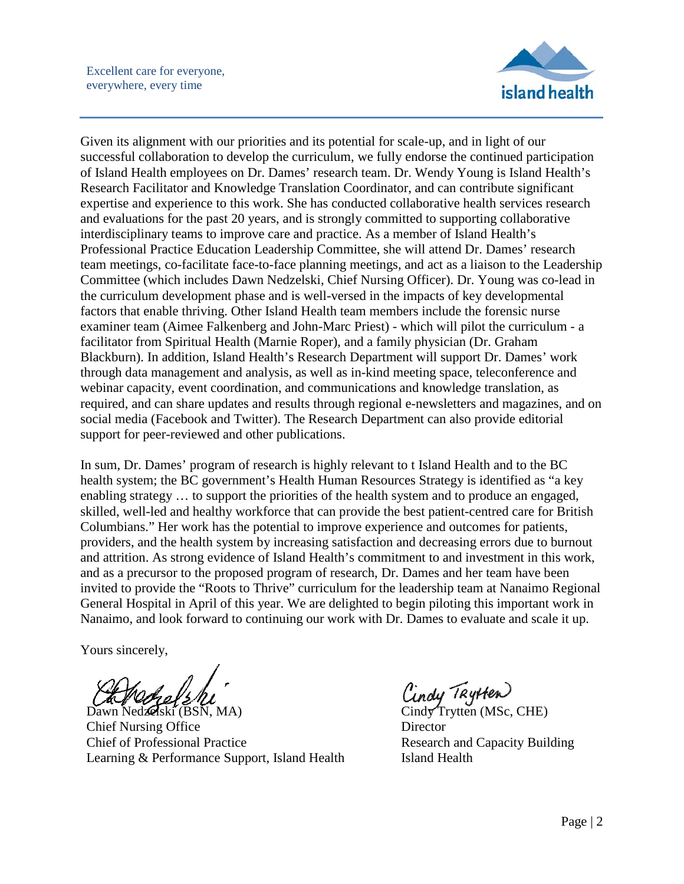

Given its alignment with our priorities and its potential for scale-up, and in light of our successful collaboration to develop the curriculum, we fully endorse the continued participation of Island Health employees on Dr. Dames' research team. Dr. Wendy Young is Island Health's Research Facilitator and Knowledge Translation Coordinator, and can contribute significant expertise and experience to this work. She has conducted collaborative health services research and evaluations for the past 20 years, and is strongly committed to supporting collaborative interdisciplinary teams to improve care and practice. As a member of Island Health's Professional Practice Education Leadership Committee, she will attend Dr. Dames' research team meetings, co-facilitate face-to-face planning meetings, and act as a liaison to the Leadership Committee (which includes Dawn Nedzelski, Chief Nursing Officer). Dr. Young was co-lead in the curriculum development phase and is well-versed in the impacts of key developmental factors that enable thriving. Other Island Health team members include the forensic nurse examiner team (Aimee Falkenberg and John-Marc Priest) - which will pilot the curriculum - a facilitator from Spiritual Health (Marnie Roper), and a family physician (Dr. Graham Blackburn). In addition, Island Health's Research Department will support Dr. Dames' work through data management and analysis, as well as in-kind meeting space, teleconference and webinar capacity, event coordination, and communications and knowledge translation, as required, and can share updates and results through regional e-newsletters and magazines, and on social media (Facebook and Twitter). The Research Department can also provide editorial support for peer-reviewed and other publications.

In sum, Dr. Dames' program of research is highly relevant to t Island Health and to the BC health system; the BC government's Health Human Resources Strategy is identified as "a key enabling strategy … to support the priorities of the health system and to produce an engaged, skilled, well-led and healthy workforce that can provide the best patient-centred care for British Columbians." Her work has the potential to improve experience and outcomes for patients, providers, and the health system by increasing satisfaction and decreasing errors due to burnout and attrition. As strong evidence of Island Health's commitment to and investment in this work, and as a precursor to the proposed program of research, Dr. Dames and her team have been invited to provide the "Roots to Thrive" curriculum for the leadership team at Nanaimo Regional General Hospital in April of this year. We are delighted to begin piloting this important work in Nanaimo, and look forward to continuing our work with Dr. Dames to evaluate and scale it up.

Yours sincerely,

Dawn Nedzelski (BSN, MA) Chief Nursing Office Chief of Professional Practice Learning & Performance Support, Island Health

Cindy Trytten<br>Cindy Trytten (MSc, CHE) **Director** Research and Capacity Building Island Health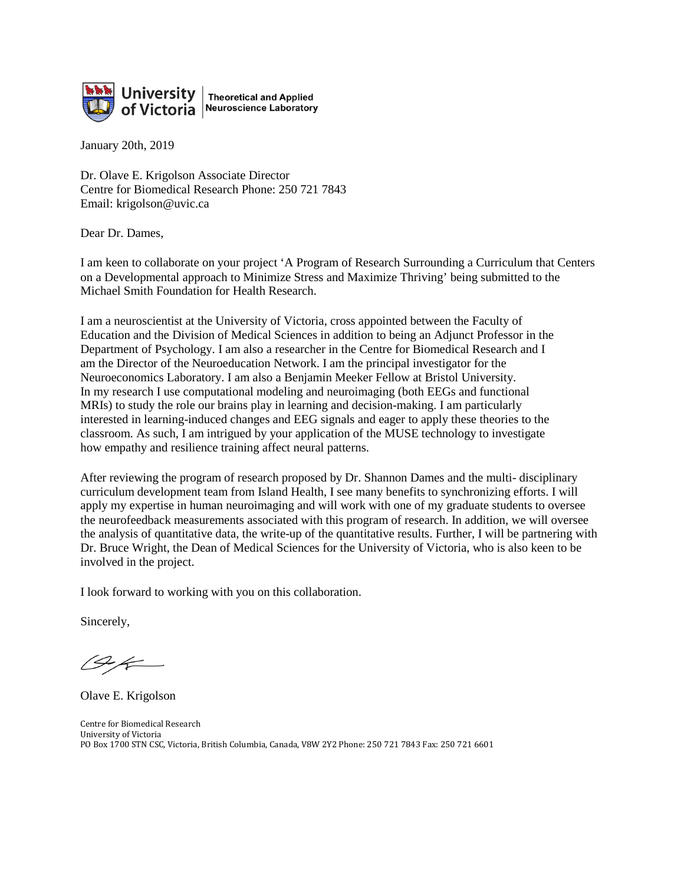

January 20th, 2019

Dr. Olave E. Krigolson Associate Director Centre for Biomedical Research Phone: 250 721 7843 Email: krigolson@uvic.ca

Dear Dr. Dames,

I am keen to collaborate on your project 'A Program of Research Surrounding a Curriculum that Centers on a Developmental approach to Minimize Stress and Maximize Thriving' being submitted to the Michael Smith Foundation for Health Research.

I am a neuroscientist at the University of Victoria, cross appointed between the Faculty of Education and the Division of Medical Sciences in addition to being an Adjunct Professor in the Department of Psychology. I am also a researcher in the Centre for Biomedical Research and I am the Director of the Neuroeducation Network. I am the principal investigator for the Neuroeconomics Laboratory. I am also a Benjamin Meeker Fellow at Bristol University. In my research I use computational modeling and neuroimaging (both EEGs and functional MRIs) to study the role our brains play in learning and decision-making. I am particularly interested in learning-induced changes and EEG signals and eager to apply these theories to the classroom. As such, I am intrigued by your application of the MUSE technology to investigate how empathy and resilience training affect neural patterns.

After reviewing the program of research proposed by Dr. Shannon Dames and the multi- disciplinary curriculum development team from Island Health, I see many benefits to synchronizing efforts. I will apply my expertise in human neuroimaging and will work with one of my graduate students to oversee the neurofeedback measurements associated with this program of research. In addition, we will oversee the analysis of quantitative data, the write-up of the quantitative results. Further, I will be partnering with Dr. Bruce Wright, the Dean of Medical Sciences for the University of Victoria, who is also keen to be involved in the project.

I look forward to working with you on this collaboration.

Sincerely,

Olave E. Krigolson

Centre for Biomedical Research University of Victoria PO Box 1700 STN CSC, Victoria, British Columbia, Canada, V8W 2Y2 Phone: 250 721 7843 Fax: 250 721 6601